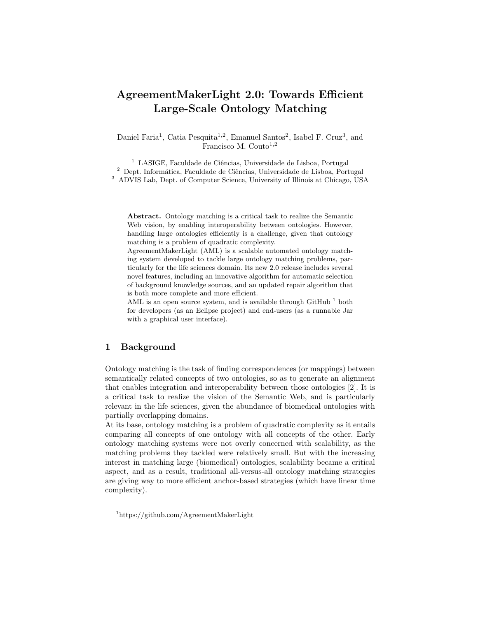# AgreementMakerLight 2.0: Towards Efficient Large-Scale Ontology Matching

Daniel Faria<sup>1</sup>, Catia Pesquita<sup>1,2</sup>, Emanuel Santos<sup>2</sup>, Isabel F. Cruz<sup>3</sup>, and Francisco M. Couto $1,2$ 

 $1$  LASIGE, Faculdade de Ciências, Universidade de Lisboa, Portugal  $^2$  Dept. Informática, Faculdade de Ciências, Universidade de Lisboa, Portugal <sup>3</sup> ADVIS Lab, Dept. of Computer Science, University of Illinois at Chicago, USA

Abstract. Ontology matching is a critical task to realize the Semantic Web vision, by enabling interoperability between ontologies. However, handling large ontologies efficiently is a challenge, given that ontology matching is a problem of quadratic complexity.

AgreementMakerLight (AML) is a scalable automated ontology matching system developed to tackle large ontology matching problems, particularly for the life sciences domain. Its new 2.0 release includes several novel features, including an innovative algorithm for automatic selection of background knowledge sources, and an updated repair algorithm that is both more complete and more efficient.

AML is an open source system, and is available through GitHub  $<sup>1</sup>$  both</sup> for developers (as an Eclipse project) and end-users (as a runnable Jar with a graphical user interface).

# 1 Background

Ontology matching is the task of finding correspondences (or mappings) between semantically related concepts of two ontologies, so as to generate an alignment that enables integration and interoperability between those ontologies [2]. It is a critical task to realize the vision of the Semantic Web, and is particularly relevant in the life sciences, given the abundance of biomedical ontologies with partially overlapping domains.

At its base, ontology matching is a problem of quadratic complexity as it entails comparing all concepts of one ontology with all concepts of the other. Early ontology matching systems were not overly concerned with scalability, as the matching problems they tackled were relatively small. But with the increasing interest in matching large (biomedical) ontologies, scalability became a critical aspect, and as a result, traditional all-versus-all ontology matching strategies are giving way to more efficient anchor-based strategies (which have linear time complexity).

<sup>1</sup>https://github.com/AgreementMakerLight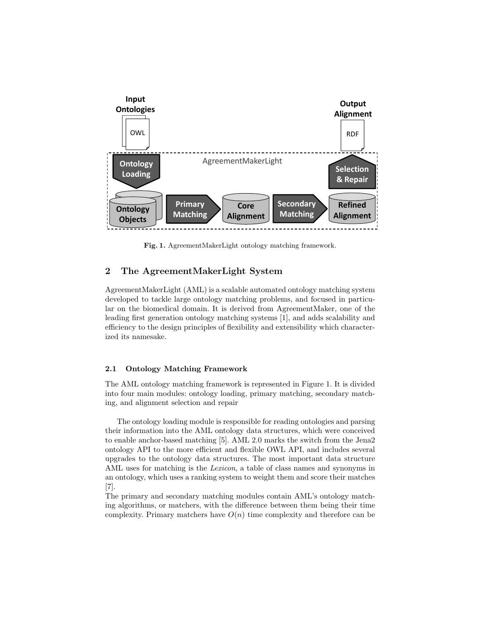

Fig. 1. AgreementMakerLight ontology matching framework.

# 2 The AgreementMakerLight System

AgreementMakerLight (AML) is a scalable automated ontology matching system developed to tackle large ontology matching problems, and focused in particular on the biomedical domain. It is derived from AgreementMaker, one of the leading first generation ontology matching systems [1], and adds scalability and efficiency to the design principles of flexibility and extensibility which characterized its namesake.

#### 2.1 Ontology Matching Framework

The AML ontology matching framework is represented in Figure 1. It is divided into four main modules: ontology loading, primary matching, secondary matching, and alignment selection and repair

The ontology loading module is responsible for reading ontologies and parsing their information into the AML ontology data structures, which were conceived to enable anchor-based matching [5]. AML 2.0 marks the switch from the Jena2 ontology API to the more efficient and flexible OWL API, and includes several upgrades to the ontology data structures. The most important data structure AML uses for matching is the *Lexicon*, a table of class names and synonyms in an ontology, which uses a ranking system to weight them and score their matches [7].

The primary and secondary matching modules contain AML's ontology matching algorithms, or matchers, with the difference between them being their time complexity. Primary matchers have  $O(n)$  time complexity and therefore can be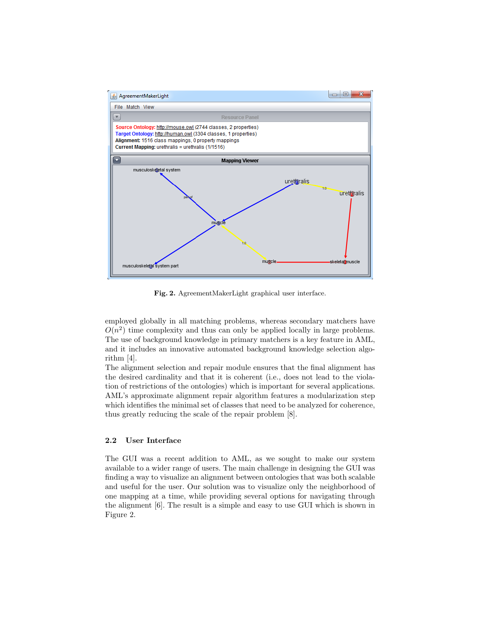

Fig. 2. AgreementMakerLight graphical user interface.

employed globally in all matching problems, whereas secondary matchers have  $O(n^2)$  time complexity and thus can only be applied locally in large problems. The use of background knowledge in primary matchers is a key feature in AML, and it includes an innovative automated background knowledge selection algorithm [4].

The alignment selection and repair module ensures that the final alignment has the desired cardinality and that it is coherent (i.e., does not lead to the violation of restrictions of the ontologies) which is important for several applications. AML's approximate alignment repair algorithm features a modularization step which identifies the minimal set of classes that need to be analyzed for coherence, thus greatly reducing the scale of the repair problem [8].

#### 2.2 User Interface

The GUI was a recent addition to AML, as we sought to make our system available to a wider range of users. The main challenge in designing the GUI was finding a way to visualize an alignment between ontologies that was both scalable and useful for the user. Our solution was to visualize only the neighborhood of one mapping at a time, while providing several options for navigating through the alignment [6]. The result is a simple and easy to use GUI which is shown in Figure 2.